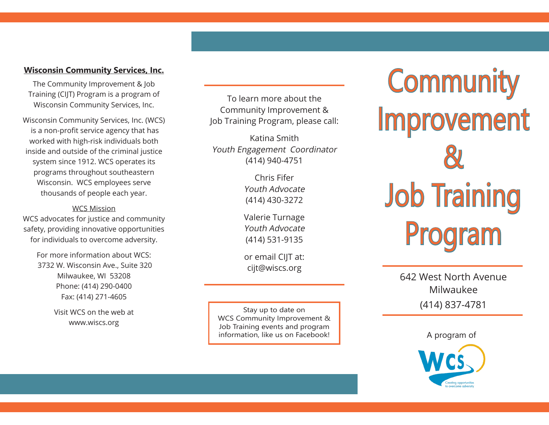## **Wisconsin Community Services, Inc.**

The Community Improvement & Job Training (CIJT) Program is a program of Wisconsin Community Services, Inc.

Wisconsin Community Services, Inc. (WCS) is a non-profit service agency that has worked with high-risk individuals both inside and outside of the criminal justice system since 1912. WCS operates its programs throughout southeastern Wisconsin. WCS employees serve thousands of people each year.

## WCS Mission

WCS advocates for justice and community safety, providing innovative opportunities for individuals to overcome adversity.

> For more information about WCS: 3732 W. Wisconsin Ave., Suite 320 Milwaukee, WI 53208 Phone: (414) 290-0400 Fax: (414) 271-4605

> > Visit WCS on the web at www.wiscs.org

To learn more about the Community Improvement & Job Training Program, please call:

Katina Smith Youth Engagement Coordinator (414) 940-4751

> Chris Fifer Youth Advocate (414) 430-3272

Valerie Turnage Youth Advocate (414) 531-9135

or email CIJT at: cijt@wiscs.org

Stay up to date on WCS Community Improvement & Job Training events and program information, like us on Facebook!

**Community** Improvement & Job Training Program

> 642 West North Avenue Milwaukee (414) 837-4781

> > A program of